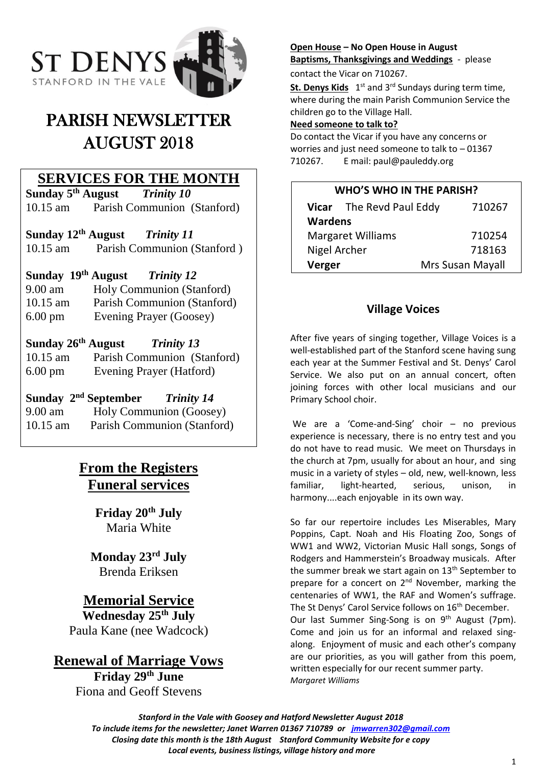

# PARISH NEWSLETTER AUGUST 2018

### **SERVICES FOR THE MONTH**

**Sunday 5 th August** *Trinity 10* 10.15 am Parish Communion (Stanford)

**Sunday 12th August** *Trinity 11* 10.15 am Parish Communion (Stanford )

### **Sunday 19th August** *Trinity 12*

9.00 am Holy Communion (Stanford) 10.15 am Parish Communion (Stanford)

6.00 pm Evening Prayer (Goosey)

### **Sunday 26th August** *Trinity 13*

10.15 am Parish Communion (Stanford) 6.00 pm Evening Prayer (Hatford)

## **Sunday 2nd September** *Trinity 14*

9.00 am Holy Communion (Goosey) 10.15 am Parish Communion (Stanford)

## **From the Registers Funeral services**

**Friday 20th July** Maria White

### **Monday 23rd July** Brenda Eriksen

### **Memorial Service**

**Wednesday 25th July** Paula Kane (nee Wadcock)

## **Renewal of Marriage Vows**

**Friday 29th June** Fiona and Geoff Stevens

### **Open House – No Open House in August Baptisms, Thanksgivings and Weddings** - please

contact the Vicar on 710267.

St. Denys Kids 1<sup>st</sup> and 3<sup>rd</sup> Sundays during term time, where during the main Parish Communion Service the children go to the Village Hall.

#### **Need someone to talk to?**

Do contact the Vicar if you have any concerns or worries and just need someone to talk to – 01367 710267. E mail: paul@pauleddy.org

#### **WHO'S WHO IN THE PARISH?**

| Vicar The Revd Paul Eddy |  | 710267           |
|--------------------------|--|------------------|
| <b>Wardens</b>           |  |                  |
| <b>Margaret Williams</b> |  | 710254           |
| Nigel Archer             |  | 718163           |
| Verger                   |  | Mrs Susan Mayall |

### **Village Voices**

After five years of singing together, Village Voices is a well-established part of the Stanford scene having sung each year at the Summer Festival and St. Denys' Carol Service. We also put on an annual concert, often joining forces with other local musicians and our Primary School choir.

We are a 'Come-and-Sing' choir – no previous experience is necessary, there is no entry test and you do not have to read music. We meet on Thursdays in the church at 7pm, usually for about an hour, and sing music in a variety of styles – old, new, well-known, less familiar, light-hearted, serious, unison, in harmony....each enjoyable in its own way.

So far our repertoire includes Les Miserables, Mary Poppins, Capt. Noah and His Floating Zoo, Songs of WW1 and WW2, Victorian Music Hall songs, Songs of Rodgers and Hammerstein's Broadway musicals. After the summer break we start again on  $13<sup>th</sup>$  September to prepare for a concert on 2<sup>nd</sup> November, marking the centenaries of WW1, the RAF and Women's suffrage. The St Denys' Carol Service follows on 16<sup>th</sup> December. Our last Summer Sing-Song is on 9<sup>th</sup> August (7pm). Come and join us for an informal and relaxed singalong. Enjoyment of music and each other's company are our priorities, as you will gather from this poem, written especially for our recent summer party. *Margaret Williams*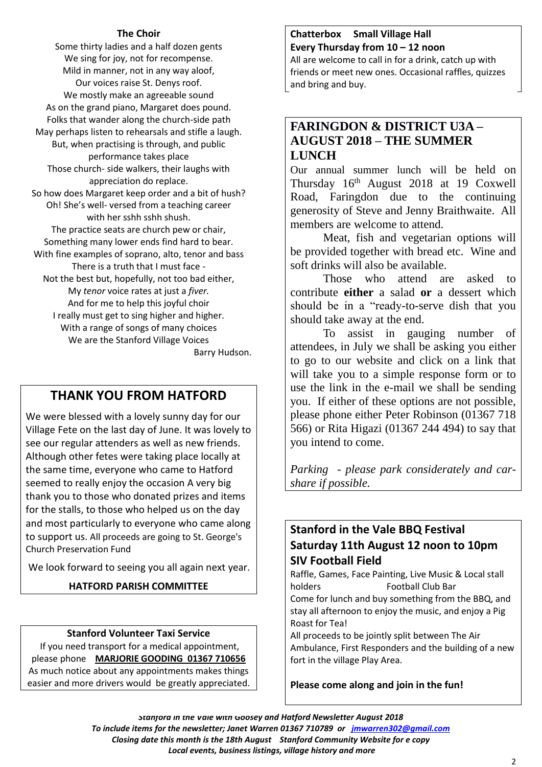#### **The Choir**

Some thirty ladies and a half dozen gents We sing for joy, not for recompense. Mild in manner, not in any way aloof, Our voices raise St. Denys roof. We mostly make an agreeable sound As on the grand piano, Margaret does pound. Folks that wander along the church-side path May perhaps listen to rehearsals and stifle a laugh. But, when practising is through, and public performance takes place Those church- side walkers, their laughs with appreciation do replace. So how does Margaret keep order and a bit of hush? Oh! She's well- versed from a teaching career with her sshh sshh shush. The practice seats are church pew or chair, Something many lower ends find hard to bear. With fine examples of soprano, alto, tenor and bass There is a truth that I must face - Not the best but, hopefully, not too bad either, My *tenor* voice rates at just a *fiver.* And for me to help this joyful choir I really must get to sing higher and higher. With a range of songs of many choices We are the Stanford Village Voices Barry Hudson.

## **THANK YOU FROM HATFORD**

We were blessed with a lovely sunny day for our Village Fete on the last day of June. It was lovely to see our regular attenders as well as new friends. Although other fetes were taking place locally at the same time, everyone who came to Hatford seemed to really enjoy the occasion A very big thank you to those who donated prizes and items for the stalls, to those who helped us on the day and most particularly to everyone who came along to support us. All proceeds are going to St. George's Church Preservation Fund

We look forward to seeing you all again next year.

### **HATFORD PARISH COMMITTEE**

#### **Stanford Volunteer Taxi Service**

If you need transport for a medical appointment, please phone **MARJORIE GOODING 01367 710656** As much notice about any appointments makes things easier and more drivers would be greatly appreciated.

#### **Chatterbox Small Village Hall Every Thursday from 10 – 12 noon**

All are welcome to call in for a drink, catch up with friends or meet new ones. Occasional raffles, quizzes and bring and buy.

### **FARINGDON & DISTRICT U3A – AUGUST 2018 – THE SUMMER LUNCH**

Our annual summer lunch will be held on Thursday 16th August 2018 at 19 Coxwell Road, Faringdon due to the continuing generosity of Steve and Jenny Braithwaite. All members are welcome to attend.

Meat, fish and vegetarian options will be provided together with bread etc. Wine and soft drinks will also be available.

Those who attend are asked to contribute **either** a salad **or** a dessert which should be in a "ready-to-serve dish that you should take away at the end.

To assist in gauging number of attendees, in July we shall be asking you either to go to our website and click on a link that will take you to a simple response form or to use the link in the e-mail we shall be sending you. If either of these options are not possible, please phone either Peter Robinson (01367 718 566) or Rita Higazi (01367 244 494) to say that you intend to come.

*Parking - please park considerately and carshare if possible.*

### **Stanford in the Vale BBQ Festival Saturday 11th August 12 noon to 10pm SIV Football Field**

Raffle, Games, Face Painting, Live Music & Local stall holders Football Club Bar Come for lunch and buy something from the BBQ, and stay all afternoon to enjoy the music, and enjoy a Pig Roast for Tea!

All proceeds to be jointly split between The Air Ambulance, First Responders and the building of a new fort in the village Play Area.

#### **Please come along and join in the fun!**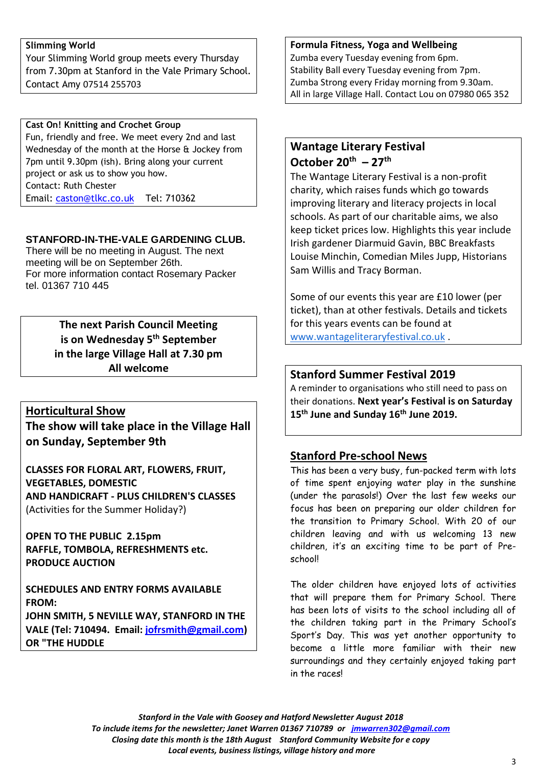#### **Slimming World**

Your Slimming World group meets every Thursday from 7.30pm at Stanford in the Vale Primary School. Contact Amy 07514 255703

#### **Cast On! Knitting and Crochet Group**

Fun, friendly and free. We meet every 2nd and last Wednesday of the month at the Horse & Jockey from 7pm until 9.30pm (ish). Bring along your current project or ask us to show you how. Contact: Ruth Chester Email: [caston@tlkc.co.uk](mailto:caston@tlkc.co.uk) Tel: 710362

#### **STANFORD-IN-THE-VALE GARDENING CLUB.**

There will be no meeting in August. The next meeting will be on September 26th. For more information contact Rosemary Packer tel. 01367 710 445

### **The next Parish Council Meeting is on Wednesday 5th September in the large Village Hall at 7.30 pm All welcome**

### **Horticultural Show**

**The show will take place in the Village Hall on Sunday, September 9th**

**CLASSES FOR FLORAL ART, FLOWERS, FRUIT, VEGETABLES, DOMESTIC AND HANDICRAFT - PLUS CHILDREN'S CLASSES** (Activities for the Summer Holiday?)

**OPEN TO THE PUBLIC 2.15pm RAFFLE, TOMBOLA, REFRESHMENTS etc. PRODUCE AUCTION**

**SCHEDULES AND ENTRY FORMS AVAILABLE FROM: JOHN SMITH, 5 NEVILLE WAY, STANFORD IN THE VALE (Tel: 710494. Email: [jofrsmith@gmail.com\)](mailto:jofrsmith@gmail.com) OR "THE HUDDLE**

#### **Formula Fitness, Yoga and Wellbeing**

Zumba every Tuesday evening from 6pm. Stability Ball every Tuesday evening from 7pm. Zumba Strong every Friday morning from 9.30am. All in large Village Hall. Contact Lou on 07980 065 352

### **Wantage Literary Festival October 20th – 27th**

The Wantage Literary Festival is a non-profit charity, which raises funds which go towards improving literary and literacy projects in local schools. As part of our charitable aims, we also keep ticket prices low. Highlights this year include Irish gardener Diarmuid Gavin, BBC Breakfasts Louise Minchin, Comedian Miles Jupp, Historians Sam Willis and Tracy Borman.

Some of our events this year are £10 lower (per ticket), than at other festivals. Details and tickets for this years events can be found at [www.wantageliteraryfestival.co.uk](http://www.wantageliteraryfestival.co.uk/) .

### **Stanford Summer Festival 2019**

A reminder to organisations who still need to pass on their donations. **Next year's Festival is on Saturday 15th June and Sunday 16th June 2019.**

### **Stanford Pre-school News**

This has been a very busy, fun-packed term with lots of time spent enjoying water play in the sunshine (under the parasols!) Over the last few weeks our focus has been on preparing our older children for the transition to Primary School. With 20 of our children leaving and with us welcoming 13 new children, it's an exciting time to be part of Preschool!

The older children have enjoyed lots of activities that will prepare them for Primary School. There has been lots of visits to the school including all of the children taking part in the Primary School's Sport's Day. This was yet another opportunity to become a little more familiar with their new surroundings and they certainly enjoyed taking part in the races!